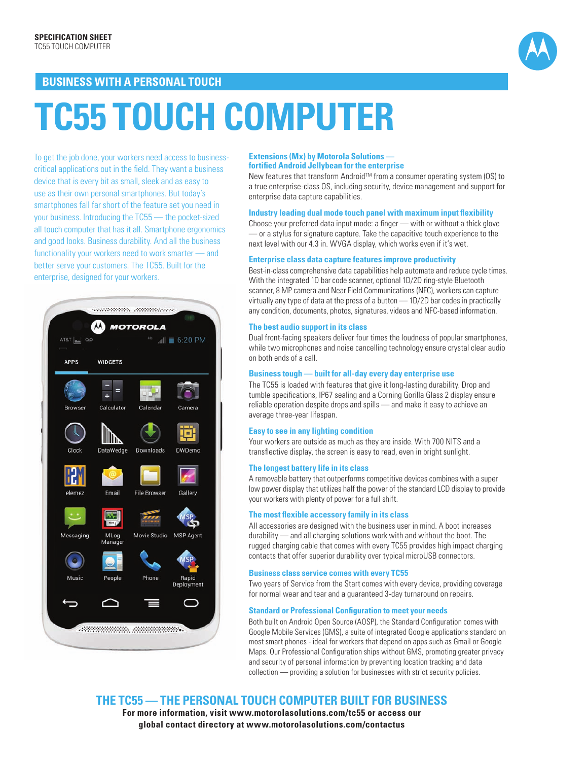

### **BUSINESS WITH A PERSONAL TOUCH**

# **TC55 TOUCH COMPUTER**

To get the job done, your workers need access to businesscritical applications out in the field. They want a business device that is every bit as small, sleek and as easy to use as their own personal smartphones. But today's smartphones fall far short of the feature set you need in your business. Introducing the TC55 — the pocket-sized all touch computer that has it all. Smartphone ergonomics and good looks. Business durability. And all the business functionality your workers need to work smarter — and better serve your customers. The TC55. Built for the enterprise, designed for your workers.



### **Extensions (Mx) by Motorola Solutions fortified Android Jellybean for the enterprise**

New features that transform Android™ from a consumer operating system (OS) to a true enterprise-class OS, including security, device management and support for enterprise data capture capabilities.

### **Industry leading dual mode touch panel with maximum input flexibility**

Choose your preferred data input mode: a finger — with or without a thick glove — or a stylus for signature capture. Take the capacitive touch experience to the next level with our 4.3 in. WVGA display, which works even if it's wet.

### **Enterprise class data capture features improve productivity**

Best-in-class comprehensive data capabilities help automate and reduce cycle times. With the integrated 1D bar code scanner, optional 1D/2D ring-style Bluetooth scanner, 8 MP camera and Near Field Communications (NFC), workers can capture virtually any type of data at the press of a button — 1D/2D bar codes in practically any condition, documents, photos, signatures, videos and NFC-based information.

### **The best audio support in its class**

Dual front-facing speakers deliver four times the loudness of popular smartphones, while two microphones and noise cancelling technology ensure crystal clear audio on both ends of a call.

### **Business tough — built for all-day every day enterprise use**

The TC55 is loaded with features that give it long-lasting durability. Drop and tumble specifications, IP67 sealing and a Corning Gorilla Glass 2 display ensure reliable operation despite drops and spills — and make it easy to achieve an average three-year lifespan.

### **Easy to see in any lighting condition**

Your workers are outside as much as they are inside. With 700 NITS and a transflective display, the screen is easy to read, even in bright sunlight.

### **The longest battery life in its class**

A removable battery that outperforms competitive devices combines with a super low power display that utilizes half the power of the standard LCD display to provide your workers with plenty of power for a full shift.

### **The most flexible accessory family in its class**

All accessories are designed with the business user in mind. A boot increases durability — and all charging solutions work with and without the boot. The rugged charging cable that comes with every TC55 provides high impact charging contacts that offer superior durability over typical microUSB connectors.

### **Business class service comes with every TC55**

Two years of Service from the Start comes with every device, providing coverage for normal wear and tear and a guaranteed 3-day turnaround on repairs.

### **Standard or Professional Configuration to meet your needs**

Both built on Android Open Source (AOSP), the Standard Configuration comes with Google Mobile Services (GMS), a suite of integrated Google applications standard on most smart phones - ideal for workers that depend on apps such as Gmail or Google Maps. Our Professional Configuration ships without GMS, promoting greater privacy and security of personal information by preventing location tracking and data collection — providing a solution for businesses with strict security policies.

**THE TC55 — THE PERSONAL TOUCH COMPUTER BUILT FOR BUSINESS**

**For more information, visit www.motorolasolutions.com/tc55 or access our global contact directory at www.motorolasolutions.com/contactus**